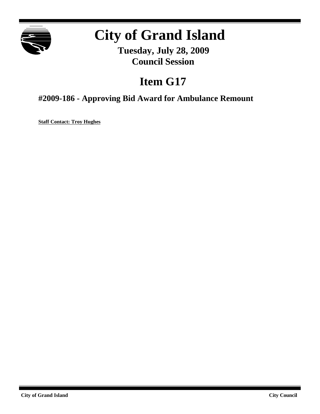

# **City of Grand Island**

**Tuesday, July 28, 2009 Council Session**

## **Item G17**

## **#2009-186 - Approving Bid Award for Ambulance Remount**

**Staff Contact: Troy Hughes**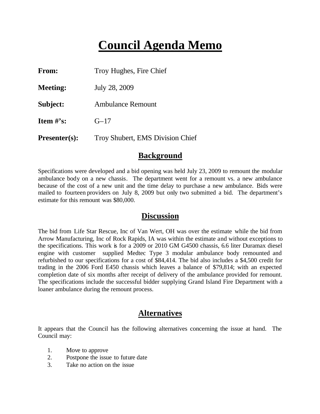## **Council Agenda Memo**

| <b>From:</b>         | Troy Hughes, Fire Chief          |  |
|----------------------|----------------------------------|--|
| <b>Meeting:</b>      | July 28, 2009                    |  |
| Subject:             | <b>Ambulance Remount</b>         |  |
| Item #'s:            | $G-17$                           |  |
| <b>Presenter(s):</b> | Troy Shubert, EMS Division Chief |  |

## **Background**

Specifications were developed and a bid opening was held July 23, 2009 to remount the modular ambulance body on a new chassis. The department went for a remount vs. a new ambulance because of the cost of a new unit and the time delay to purchase a new ambulance. Bids were mailed to fourteen providers on July 8, 2009 but only two submitted a bid. The department's estimate for this remount was \$80,000.

### **Discussion**

The bid from Life Star Rescue, Inc of Van Wert, OH was over the estimate while the bid from Arrow Manufacturing, Inc of Rock Rapids, IA was within the estimate and without exceptions to the specifications. This work is for a 2009 or 2010 GM G4500 chassis, 6.6 liter Duramax diesel engine with customer supplied Medtec Type 3 modular ambulance body remounted and refurbished to our specifications for a cost of \$84,414. The bid also includes a \$4,500 credit for trading in the 2006 Ford E450 chassis which leaves a balance of \$79,814; with an expected completion date of six months after receipt of delivery of the ambulance provided for remount. The specifications include the successful bidder supplying Grand Island Fire Department with a loaner ambulance during the remount process.

## **Alternatives**

It appears that the Council has the following alternatives concerning the issue at hand. The Council may:

- 1. Move to approve
- 2. Postpone the issue to future date
- 3. Take no action on the issue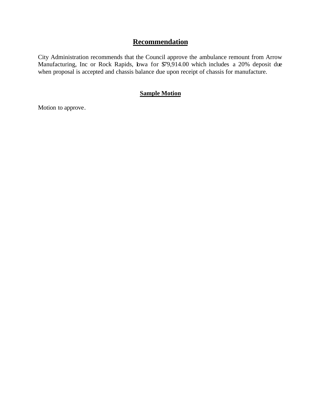## **Recommendation**

City Administration recommends that the Council approve the ambulance remount from Arrow Manufacturing, Inc or Rock Rapids, Iowa for \$79,914.00 which includes a 20% deposit due when proposal is accepted and chassis balance due upon receipt of chassis for manufacture.

### **Sample Motion**

Motion to approve.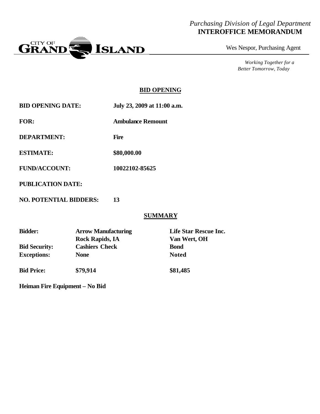### *Purchasing Division of Legal Department* **INTEROFFICE MEMORANDUM**



Wes Nespor, Purchasing Agent

*Working Together for a Better Tomorrow, Today*

#### **BID OPENING**

**BID OPENING DATE: July 23, 2009 at 11:00 a.m.**

**FOR: Ambulance Remount**

**DEPARTMENT: Fire**

**ESTIMATE: \$80,000.00**

**FUND/ACCOUNT: 10022102-85625**

**PUBLICATION DATE:**

**NO. POTENTIAL BIDDERS: 13**

#### **SUMMARY**

| <b>Bidder:</b>       | <b>Arrow Manufacturing</b> | <b>Life Star Rescue Inc.</b> |
|----------------------|----------------------------|------------------------------|
|                      | <b>Rock Rapids, IA</b>     | Van Wert, OH                 |
| <b>Bid Security:</b> | <b>Cashiers Check</b>      | <b>Bond</b>                  |
| <b>Exceptions:</b>   | <b>None</b>                | <b>Noted</b>                 |
| <b>Bid Price:</b>    | \$79,914                   | \$81,485                     |

**Heiman Fire Equipment – No Bid**